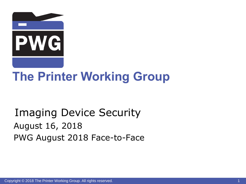

# **The Printer Working Group**

### Imaging Device Security August 16, 2018 PWG August 2018 Face-to-Face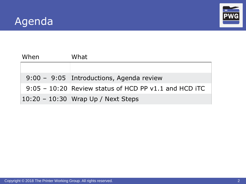



| When | What                                                    |
|------|---------------------------------------------------------|
|      |                                                         |
|      | 9:00 - 9:05 Introductions, Agenda review                |
|      | $9:05 - 10:20$ Review status of HCD PP v1.1 and HCD iTC |
|      | $10:20 - 10:30$ Wrap Up / Next Steps                    |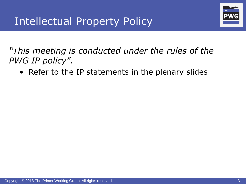

*"This meeting is conducted under the rules of the PWG IP policy".* 

• Refer to the IP statements in the plenary slides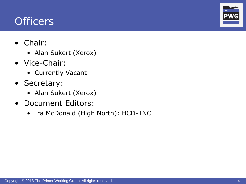### **Officers**

- Chair:
	- Alan Sukert (Xerox)
- Vice-Chair:
	- Currently Vacant
- Secretary:
	- Alan Sukert (Xerox)
- Document Editors:
	- Ira McDonald (High North): HCD-TNC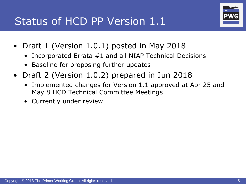

- Draft 1 (Version 1.0.1) posted in May 2018
	- Incorporated Errata #1 and all NIAP Technical Decisions
	- Baseline for proposing further updates
- Draft 2 (Version 1.0.2) prepared in Jun 2018
	- Implemented changes for Version 1.1 approved at Apr 25 and May 8 HCD Technical Committee Meetings
	- Currently under review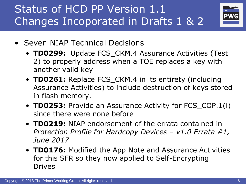Status of HCD PP Version 1.1 Changes Incoporated in Drafts 1 & 2



- Seven NIAP Technical Decisions
	- **TD0299:** Update FCS\_CKM.4 Assurance Activities (Test 2) to properly address when a TOE replaces a key with another valid key
	- **TD0261:** Replace FCS\_CKM.4 in its entirety (including Assurance Activities) to include destruction of keys stored in flash memory.
	- **TD0253:** Provide an Assurance Activity for FCS\_COP.1(i) since there were none before
	- **TD0219:** NIAP endorsement of the errata contained in *Protection Profile for Hardcopy Devices – v1.0 Errata #1, June 2017*
	- **TD0176:** Modified the App Note and Assurance Activities for this SFR so they now applied to Self-Encrypting Drives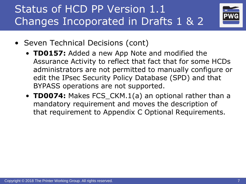

- Seven Technical Decisions (cont)
	- **TD0157:** Added a new App Note and modified the Assurance Activity to reflect that fact that for some HCDs administrators are not permitted to manually configure or edit the IPsec Security Policy Database (SPD) and that BYPASS operations are not supported.
	- **TD0074:** Makes FCS\_CKM.1(a) an optional rather than a mandatory requirement and moves the description of that requirement to Appendix C Optional Requirements.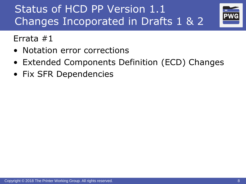

Errata #1

- Notation error corrections
- Extended Components Definition (ECD) Changes
- Fix SFR Dependencies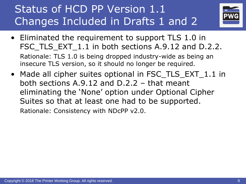

- Eliminated the requirement to support TLS 1.0 in FSC TLS EXT 1.1 in both sections A.9.12 and D.2.2. Rationale: TLS 1.0 is being dropped industry-wide as being an insecure TLS version, so it should no longer be required.
- Made all cipher suites optional in FSC\_TLS\_EXT\_1.1 in both sections A.9.12 and D.2.2 – that meant eliminating the 'None' option under Optional Cipher Suites so that at least one had to be supported.

Rationale: Consistency with NDcPP v2.0.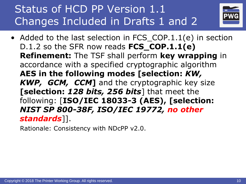

• Added to the last selection in FCS\_COP.1.1(e) in section D.1.2 so the SFR now reads **FCS\_COP.1.1(e) Refinement:** The TSF shall perform **key wrapping** in accordance with a specified cryptographic algorithm **AES in the following modes [selection:** *KW, KWP, GCM, CCM***]** and the cryptographic key size **[selection:** *128 bits, 256 bits*] that meet the following: [**ISO/IEC 18033-3 (AES), [selection:**  *NIST SP 800-38F, ISO/IEC 19772, no other standards*]].

Rationale: Consistency with NDcPP v2.0.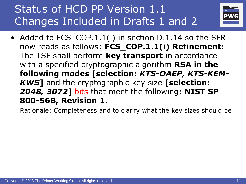

• Added to FCS\_COP.1.1(i) in section D.1.14 so the SFR now reads as follows: **FCS\_COP.1.1(i) Refinement:** The TSF shall perform **key transport** in accordance with a specified cryptographic algorithm **RSA in the following modes [selection:** *KTS-OAEP, KTS-KEM-KWS***]** and the cryptographic key size **[selection:**  *2048, 3072***]** bits that meet the following**: NIST SP 800-56B, Revision 1**.

Rationale: Completeness and to clarify what the key sizes should be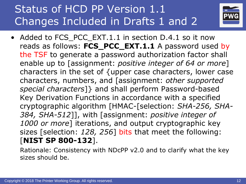

• Added to FCS PCC EXT.1.1 in section D.4.1 so it now reads as follows: **FCS\_PCC\_EXT.1.1** A password used by the TSF to generate a password authorization factor shall enable up to [assignment: *positive integer of 64 or more*] characters in the set of {upper case characters, lower case characters, numbers, and [assignment: *other supported special characters*]} and shall perform Password-based Key Derivation Functions in accordance with a specified cryptographic algorithm [HMAC-[selection: *SHA-256, SHA-384, SHA-512*]], with [assignment: *positive integer of 1000 or more*] iterations, and output cryptographic key sizes [selection: *128, 256*] bits that meet the following: [**NIST SP 800-132**].

Rationale: Consistency with NDcPP v2.0 and to clarify what the key sizes should be.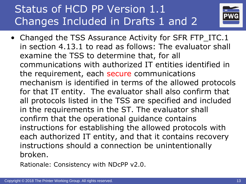

• Changed the TSS Assurance Activity for SFR FTP\_ITC.1 in section 4.13.1 to read as follows: The evaluator shall examine the TSS to determine that, for all communications with authorized IT entities identified in the requirement, each secure communications mechanism is identified in terms of the allowed protocols for that IT entity. The evaluator shall also confirm that all protocols listed in the TSS are specified and included in the requirements in the ST. The evaluator shall confirm that the operational guidance contains instructions for establishing the allowed protocols with each authorized IT entity, and that it contains recovery instructions should a connection be unintentionally broken.

Rationale: Consistency with NDcPP v2.0.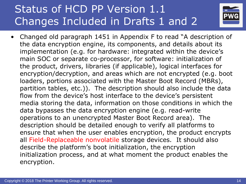

• Changed old paragraph 1451 in Appendix F to read "A description of the data encryption engine, its components, and details about its implementation (e.g. for hardware: integrated within the device's main SOC or separate co-processor, for software: initialization of the product, drivers, libraries (if applicable), logical interfaces for encryption/decryption, and areas which are not encrypted (e.g. boot loaders, portions associated with the Master Boot Record (MBRs), partition tables, etc.)). The description should also include the data flow from the device's host interface to the device's persistent media storing the data, information on those conditions in which the data bypasses the data encryption engine (e.g. read-write operations to an unencrypted Master Boot Record area). The description should be detailed enough to verify all platforms to ensure that when the user enables encryption, the product encrypts all Field-Replaceable nonvolatile storage devices. It should also describe the platform's boot initialization, the encryption initialization process, and at what moment the product enables the encryption.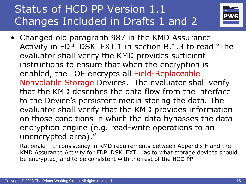

- Changed old paragraph 987 in the KMD Assurance Activity in FDP\_DSK\_EXT.1 in section B.1.3 to read "The evaluator shall verify the KMD provides sufficient instructions to ensure that when the encryption is enabled, the TOE encrypts all Field-Replaceable Nonvolatile Storage Devices. The evaluator shall verify that the KMD describes the data flow from the interface to the Device's persistent media storing the data. The evaluator shall verify that the KMD provides information on those conditions in which the data bypasses the data encryption engine (e.g. read-write operations to an unencrypted area)."
	- Rationale Inconsistency in KMD requirements between Appendix F and the KMD Assurance Activity for FDP\_DSK\_EXT.1 as to what storage devices should be encrypted, and to be consistent with the rest of the HCD PP.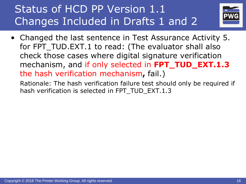

• Changed the last sentence in Test Assurance Activity 5. for FPT\_TUD.EXT.1 to read: (The evaluator shall also check those cases where digital signature verification mechanism, and if only selected in **FPT\_TUD\_EXT.1.3**  the hash verification mechanism**,** fail.)

Rationale: The hash verification failure test should only be required if hash verification is selected in FPT\_TUD\_EXT.1.3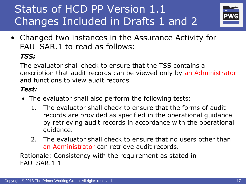

• Changed two instances in the Assurance Activity for FAU\_SAR.1 to read as follows:

#### *TSS:*

The evaluator shall check to ensure that the TSS contains a description that audit records can be viewed only by an Administrator and functions to view audit records.

#### *Test:*

- The evaluator shall also perform the following tests:
	- 1. The evaluator shall check to ensure that the forms of audit records are provided as specified in the operational guidance by retrieving audit records in accordance with the operational guidance.
	- 2. The evaluator shall check to ensure that no users other than an Administrator can retrieve audit records.

Rationale: Consistency with the requirement as stated in FAU SAR.1.1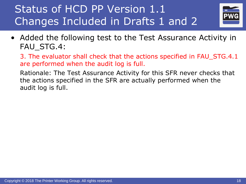

• Added the following test to the Test Assurance Activity in FAU STG.4:

3. The evaluator shall check that the actions specified in FAU\_STG.4.1 are performed when the audit log is full.

Rationale: The Test Assurance Activity for this SFR never checks that the actions specified in the SFR are actually performed when the audit log is full.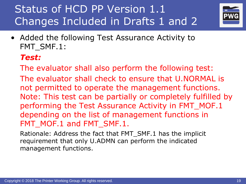

• Added the following Test Assurance Activity to FMT\_SMF.1:

#### *Test:*

- The evaluator shall also perform the following test: The evaluator shall check to ensure that U.NORMAL is not permitted to operate the management functions. Note: This test can be partially or completely fulfilled by performing the Test Assurance Activity in FMT\_MOF.1 depending on the list of management functions in FMT\_MOF.1 and FMT\_SMF.1.
- Rationale: Address the fact that FMT\_SMF.1 has the implicit requirement that only U.ADMN can perform the indicated management functions.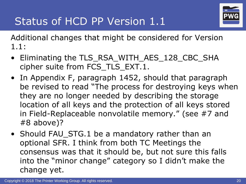

Additional changes that might be considered for Version 1.1:

- Eliminating the TLS\_RSA\_WITH\_AES\_128\_CBC\_SHA cipher suite from FCS\_TLS\_EXT.1.
- In Appendix F, paragraph 1452, should that paragraph be revised to read "The process for destroying keys when they are no longer needed by describing the storage location of all keys and the protection of all keys stored in Field-Replaceable nonvolatile memory." (see #7 and #8 above)?
- Should FAU\_STG.1 be a mandatory rather than an optional SFR. I think from both TC Meetings the consensus was that it should be, but not sure this falls into the "minor change" category so I didn't make the change yet.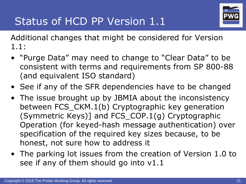

Additional changes that might be considered for Version 1.1:

- "Purge Data" may need to change to "Clear Data" to be consistent with terms and requirements from SP 800-88 (and equivalent ISO standard)
- See if any of the SFR dependencies have to be changed
- The issue brought up by JBMIA about the inconsistency between FCS\_CKM.1(b) Cryptographic key generation (Symmetric Keys)] and FCS\_COP.1(g) Cryptographic Operation (for keyed-hash message authentication) over specification of the required key sizes because, to be honest, not sure how to address it
- The parking lot issues from the creation of Version 1.0 to see if any of them should go into v1.1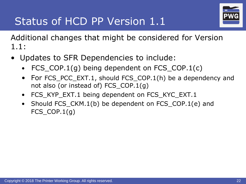

Additional changes that might be considered for Version 1.1:

- Updates to SFR Dependencies to include:
	- FCS\_COP.1(g) being dependent on FCS\_COP.1(c)
	- For FCS\_PCC\_EXT.1, should FCS\_COP.1(h) be a dependency and not also (or instead of) FCS\_COP.1(g)
	- FCS\_KYP\_EXT.1 being dependent on FCS\_KYC\_EXT.1
	- Should FCS\_CKM.1(b) be dependent on FCS\_COP.1(e) and FCS  $COP.1(q)$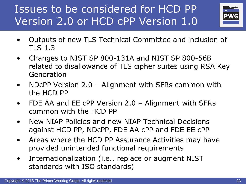# Issues to be considered for HCD PP Version 2.0 or HCD cPP Version 1.0



- Outputs of new TLS Technical Committee and inclusion of TLS 1.3
- Changes to NIST SP 800-131A and NIST SP 800-56B related to disallowance of TLS cipher suites using RSA Key Generation
- NDcPP Version 2.0 Alignment with SFRs common with the HCD PP
- FDE AA and EE cPP Version 2.0 Alignment with SFRs common with the HCD PP
- New NIAP Policies and new NIAP Technical Decisions against HCD PP, NDcPP, FDE AA cPP and FDE EE cPP
- Areas where the HCD PP Assurance Activities may have provided unintended functional requirements
- Internationalization (i.e., replace or augment NIST standards with ISO standards)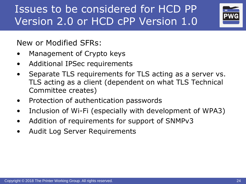Issues to be considered for HCD PP Version 2.0 or HCD cPP Version 1.0



New or Modified SFRs:

- Management of Crypto keys
- Additional IPSec requirements
- Separate TLS requirements for TLS acting as a server vs. TLS acting as a client (dependent on what TLS Technical Committee creates)
- Protection of authentication passwords
- Inclusion of Wi-Fi (especially with development of WPA3)
- Addition of requirements for support of SNMPv3
- Audit Log Server Requirements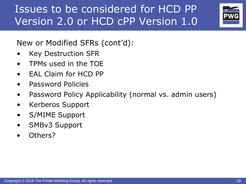# Issues to be considered for HCD PP Version 2.0 or HCD cPP Version 1.0



New or Modified SFRs (cont'd):

- Key Destruction SFR
- TPMs used in the TOE
- EAL Claim for HCD PP
- Password Policies
- Password Policy Applicability (normal vs. admin users)
- Kerberos Support
- S/MIME Support
- SMBv3 Support
- Others?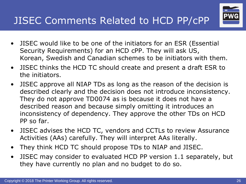### JISEC Comments Related to HCD PP/cPP

- JISEC would like to be one of the initiators for an ESR (Essential Security Requirements) for an HCD cPP. They will ask US, Korean, Swedish and Canadian schemes to be initiators with them.
- JISEC thinks the HCD TC should create and present a draft ESR to the initiators.
- JISEC approve all NIAP TDs as long as the reason of the decision is described clearly and the decision does not introduce inconsistency. They do not approve TD0074 as is because it does not have a described reason and because simply omitting it introduces an inconsistency of dependency. They approve the other TDs on HCD PP so far.
- JISEC advises the HCD TC, vendors and CCTLs to review Assurance Activities (AAs) carefully. They will interpret AAs literally.
- They think HCD TC should propose TDs to NIAP and JISEC.
- JISEC may consider to evaluated HCD PP version 1.1 separately, but they have currently no plan and no budget to do so.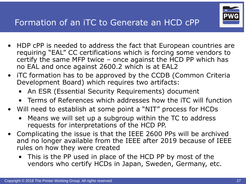

- HDP cPP is needed to address the fact that European countries are requiring "EAL" CC certifications which is forcing some vendors to certify the same MFP twice  $-$  once against the  $\overline{HCD}$  PP which has no EAL and once against 2600.2 which is at EAL2
- iTC formation has to be approved by the CCDB (Common Criteria Development Board) which requires two artifacts:
	- An ESR (Essential Security Requirements) document
	- Terms of References which addresses how the iTC will function
- Will need to establish at some point a "NIT" process for HCDs
	- Means we will set up a subgroup within the TC to address requests for interpretations of the HCD PP.
- Complicating the issue is that the IEEE 2600 PPs will be archived and no longer available from the IEEE after 2019 because of IEEE rules on how they were created
	- This is the PP used in place of the HCD PP by most of the vendors who certify HCDs in Japan, Sweden, Germany, etc.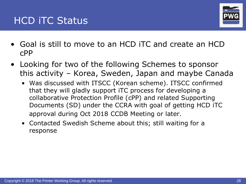



- Goal is still to move to an HCD iTC and create an HCD cPP
- Looking for two of the following Schemes to sponsor this activity – Korea, Sweden, Japan and maybe Canada
	- Was discussed with ITSCC (Korean scheme). ITSCC confirmed that they will gladly support iTC process for developing a collaborative Protection Profile (cPP) and related Supporting Documents (SD) under the CCRA with goal of getting HCD iTC approval during Oct 2018 CCDB Meeting or later.
	- Contacted Swedish Scheme about this; still waiting for a response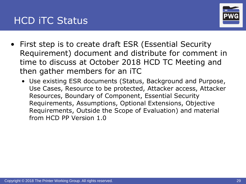

- First step is to create draft ESR (Essential Security Requirement) document and distribute for comment in time to discuss at October 2018 HCD TC Meeting and then gather members for an iTC
	- Use existing ESR documents (Status, Background and Purpose, Use Cases, Resource to be protected, Attacker access, Attacker Resources, Boundary of Component, Essential Security Requirements, Assumptions, Optional Extensions, Objective Requirements, Outside the Scope of Evaluation) and material from HCD PP Version 1.0